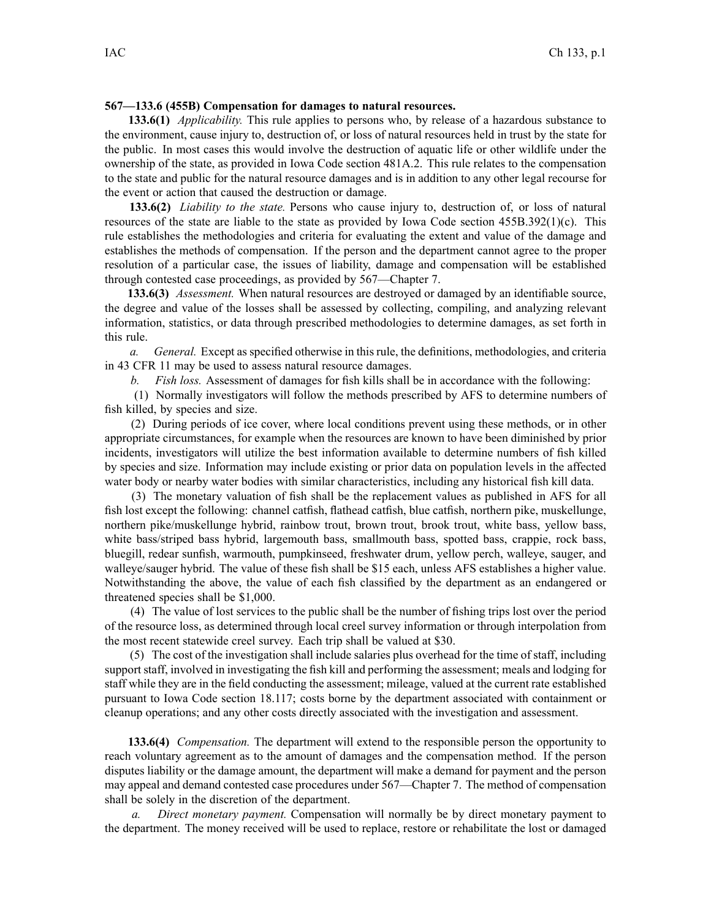## **567—133.6 (455B) Compensation for damages to natural resources.**

**133.6(1)** *Applicability.* This rule applies to persons who, by release of <sup>a</sup> hazardous substance to the environment, cause injury to, destruction of, or loss of natural resources held in trust by the state for the public. In most cases this would involve the destruction of aquatic life or other wildlife under the ownership of the state, as provided in Iowa Code section 481A.2. This rule relates to the compensation to the state and public for the natural resource damages and is in addition to any other legal recourse for the event or action that caused the destruction or damage.

**133.6(2)** *Liability to the state.* Persons who cause injury to, destruction of, or loss of natural resources of the state are liable to the state as provided by Iowa Code section 455B.392(1)(c). This rule establishes the methodologies and criteria for evaluating the extent and value of the damage and establishes the methods of compensation. If the person and the department cannot agree to the proper resolution of <sup>a</sup> particular case, the issues of liability, damage and compensation will be established through contested case proceedings, as provided by 567—Chapter 7.

**133.6(3)** *Assessment.* When natural resources are destroyed or damaged by an identifiable source, the degree and value of the losses shall be assessed by collecting, compiling, and analyzing relevant information, statistics, or data through prescribed methodologies to determine damages, as set forth in this rule.

*a. General.* Except as specified otherwise in this rule, the definitions, methodologies, and criteria in 43 CFR 11 may be used to assess natural resource damages.

*b. Fish loss.* Assessment of damages for fish kills shall be in accordance with the following:

(1) Normally investigators will follow the methods prescribed by AFS to determine numbers of fish killed, by species and size.

(2) During periods of ice cover, where local conditions preven<sup>t</sup> using these methods, or in other appropriate circumstances, for example when the resources are known to have been diminished by prior incidents, investigators will utilize the best information available to determine numbers of fish killed by species and size. Information may include existing or prior data on population levels in the affected water body or nearby water bodies with similar characteristics, including any historical fish kill data.

(3) The monetary valuation of fish shall be the replacement values as published in AFS for all fish lost excep<sup>t</sup> the following: channel catfish, flathead catfish, blue catfish, northern pike, muskellunge, northern pike/muskellunge hybrid, rainbow trout, brown trout, brook trout, white bass, yellow bass, white bass/striped bass hybrid, largemouth bass, smallmouth bass, spotted bass, crappie, rock bass, bluegill, redear sunfish, warmouth, pumpkinseed, freshwater drum, yellow perch, walleye, sauger, and walleye/sauger hybrid. The value of these fish shall be \$15 each, unless AFS establishes <sup>a</sup> higher value. Notwithstanding the above, the value of each fish classified by the department as an endangered or threatened species shall be \$1,000.

(4) The value of lost services to the public shall be the number of fishing trips lost over the period of the resource loss, as determined through local creel survey information or through interpolation from the most recent statewide creel survey. Each trip shall be valued at \$30.

(5) The cost of the investigation shall include salaries plus overhead for the time of staff, including suppor<sup>t</sup> staff, involved in investigating the fish kill and performing the assessment; meals and lodging for staff while they are in the field conducting the assessment; mileage, valued at the current rate established pursuan<sup>t</sup> to Iowa Code section 18.117; costs borne by the department associated with containment or cleanup operations; and any other costs directly associated with the investigation and assessment.

**133.6(4)** *Compensation.* The department will extend to the responsible person the opportunity to reach voluntary agreemen<sup>t</sup> as to the amount of damages and the compensation method. If the person disputes liability or the damage amount, the department will make <sup>a</sup> demand for paymen<sup>t</sup> and the person may appeal and demand contested case procedures under 567—Chapter 7. The method of compensation shall be solely in the discretion of the department.

*a. Direct monetary payment.* Compensation will normally be by direct monetary paymen<sup>t</sup> to the department. The money received will be used to replace, restore or rehabilitate the lost or damaged